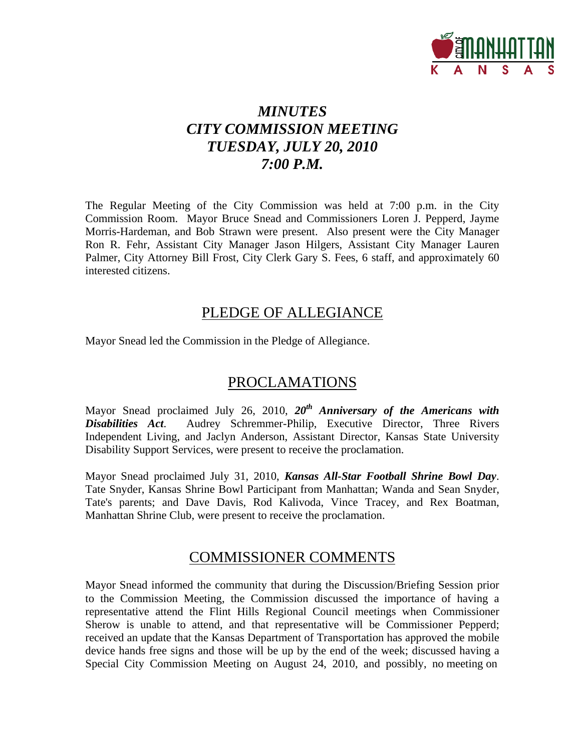

# *MINUTES CITY COMMISSION MEETING TUESDAY, JULY 20, 2010 7:00 P.M.*

The Regular Meeting of the City Commission was held at 7:00 p.m. in the City Commission Room. Mayor Bruce Snead and Commissioners Loren J. Pepperd, Jayme Morris-Hardeman, and Bob Strawn were present. Also present were the City Manager Ron R. Fehr, Assistant City Manager Jason Hilgers, Assistant City Manager Lauren Palmer, City Attorney Bill Frost, City Clerk Gary S. Fees, 6 staff, and approximately 60 interested citizens.

# PLEDGE OF ALLEGIANCE

Mayor Snead led the Commission in the Pledge of Allegiance.

# PROCLAMATIONS

Mayor Snead proclaimed July 26, 2010, *20th Anniversary of the Americans with Disabilities Act*. Audrey Schremmer-Philip, Executive Director, Three Rivers Independent Living, and Jaclyn Anderson, Assistant Director, Kansas State University Disability Support Services, were present to receive the proclamation.

Mayor Snead proclaimed July 31, 2010, *Kansas All-Star Football Shrine Bowl Day*. Tate Snyder, Kansas Shrine Bowl Participant from Manhattan; Wanda and Sean Snyder, Tate's parents; and Dave Davis, Rod Kalivoda, Vince Tracey, and Rex Boatman, Manhattan Shrine Club, were present to receive the proclamation.

# COMMISSIONER COMMENTS

Mayor Snead informed the community that during the Discussion/Briefing Session prior to the Commission Meeting, the Commission discussed the importance of having a representative attend the Flint Hills Regional Council meetings when Commissioner Sherow is unable to attend, and that representative will be Commissioner Pepperd; received an update that the Kansas Department of Transportation has approved the mobile device hands free signs and those will be up by the end of the week; discussed having a Special City Commission Meeting on August 24, 2010, and possibly, no meeting on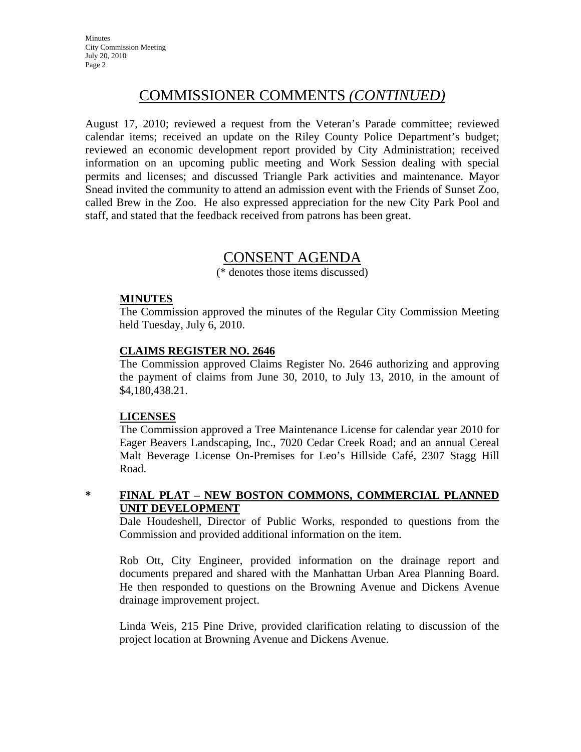**Minutes** City Commission Meeting July 20, 2010 Page 2

# COMMISSIONER COMMENTS *(CONTINUED)*

August 17, 2010; reviewed a request from the Veteran's Parade committee; reviewed calendar items; received an update on the Riley County Police Department's budget; reviewed an economic development report provided by City Administration; received information on an upcoming public meeting and Work Session dealing with special permits and licenses; and discussed Triangle Park activities and maintenance. Mayor Snead invited the community to attend an admission event with the Friends of Sunset Zoo, called Brew in the Zoo. He also expressed appreciation for the new City Park Pool and staff, and stated that the feedback received from patrons has been great.

# CONSENT AGENDA

(\* denotes those items discussed)

#### **MINUTES**

The Commission approved the minutes of the Regular City Commission Meeting held Tuesday, July 6, 2010.

### **CLAIMS REGISTER NO. 2646**

The Commission approved Claims Register No. 2646 authorizing and approving the payment of claims from June 30, 2010, to July 13, 2010, in the amount of \$4,180,438.21.

#### **LICENSES**

The Commission approved a Tree Maintenance License for calendar year 2010 for Eager Beavers Landscaping, Inc., 7020 Cedar Creek Road; and an annual Cereal Malt Beverage License On-Premises for Leo's Hillside Café, 2307 Stagg Hill Road.

#### **\* FINAL PLAT – NEW BOSTON COMMONS, COMMERCIAL PLANNED UNIT DEVELOPMENT**

Dale Houdeshell, Director of Public Works, responded to questions from the Commission and provided additional information on the item.

Rob Ott, City Engineer, provided information on the drainage report and documents prepared and shared with the Manhattan Urban Area Planning Board. He then responded to questions on the Browning Avenue and Dickens Avenue drainage improvement project.

Linda Weis, 215 Pine Drive, provided clarification relating to discussion of the project location at Browning Avenue and Dickens Avenue.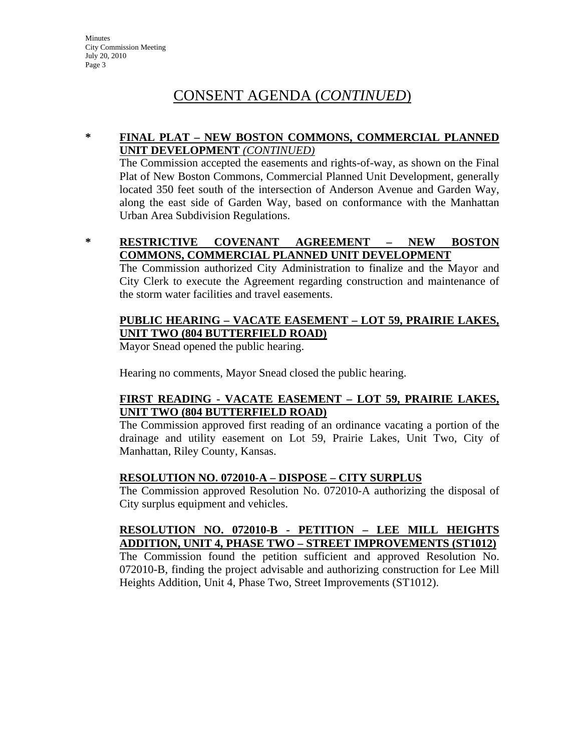### **\* FINAL PLAT – NEW BOSTON COMMONS, COMMERCIAL PLANNED UNIT DEVELOPMENT** *(CONTINUED)*

The Commission accepted the easements and rights-of-way, as shown on the Final Plat of New Boston Commons, Commercial Planned Unit Development, generally located 350 feet south of the intersection of Anderson Avenue and Garden Way, along the east side of Garden Way, based on conformance with the Manhattan Urban Area Subdivision Regulations.

**\* RESTRICTIVE COVENANT AGREEMENT – NEW BOSTON COMMONS, COMMERCIAL PLANNED UNIT DEVELOPMENT**

The Commission authorized City Administration to finalize and the Mayor and City Clerk to execute the Agreement regarding construction and maintenance of the storm water facilities and travel easements.

# **PUBLIC HEARING – VACATE EASEMENT – LOT 59, PRAIRIE LAKES, UNIT TWO (804 BUTTERFIELD ROAD)**

Mayor Snead opened the public hearing.

Hearing no comments, Mayor Snead closed the public hearing.

# **FIRST READING - VACATE EASEMENT – LOT 59, PRAIRIE LAKES, UNIT TWO (804 BUTTERFIELD ROAD)**

The Commission approved first reading of an ordinance vacating a portion of the drainage and utility easement on Lot 59, Prairie Lakes, Unit Two, City of Manhattan, Riley County, Kansas.

# **RESOLUTION NO. 072010-A – DISPOSE – CITY SURPLUS**

The Commission approved Resolution No. 072010-A authorizing the disposal of City surplus equipment and vehicles.

# **RESOLUTION NO. 072010-B - PETITION – LEE MILL HEIGHTS ADDITION, UNIT 4, PHASE TWO – STREET IMPROVEMENTS (ST1012)**

The Commission found the petition sufficient and approved Resolution No. 072010-B, finding the project advisable and authorizing construction for Lee Mill Heights Addition, Unit 4, Phase Two, Street Improvements (ST1012).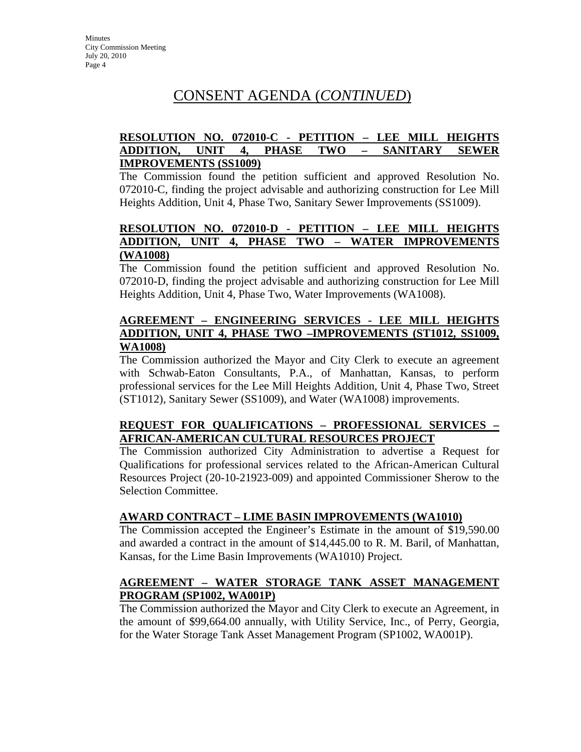# **RESOLUTION NO. 072010-C - PETITION – LEE MILL HEIGHTS ADDITION, UNIT 4, PHASE TWO – SANITARY SEWER IMPROVEMENTS (SS1009)**

The Commission found the petition sufficient and approved Resolution No. 072010-C, finding the project advisable and authorizing construction for Lee Mill Heights Addition, Unit 4, Phase Two, Sanitary Sewer Improvements (SS1009).

# **RESOLUTION NO. 072010-D - PETITION – LEE MILL HEIGHTS ADDITION, UNIT 4, PHASE TWO – WATER IMPROVEMENTS (WA1008)**

The Commission found the petition sufficient and approved Resolution No. 072010-D, finding the project advisable and authorizing construction for Lee Mill Heights Addition, Unit 4, Phase Two, Water Improvements (WA1008).

# **AGREEMENT – ENGINEERING SERVICES - LEE MILL HEIGHTS ADDITION, UNIT 4, PHASE TWO –IMPROVEMENTS (ST1012, SS1009, WA1008)**

The Commission authorized the Mayor and City Clerk to execute an agreement with Schwab-Eaton Consultants, P.A., of Manhattan, Kansas, to perform professional services for the Lee Mill Heights Addition, Unit 4, Phase Two, Street (ST1012), Sanitary Sewer (SS1009), and Water (WA1008) improvements.

# **REQUEST FOR QUALIFICATIONS – PROFESSIONAL SERVICES – AFRICAN-AMERICAN CULTURAL RESOURCES PROJECT**

The Commission authorized City Administration to advertise a Request for Qualifications for professional services related to the African-American Cultural Resources Project (20-10-21923-009) and appointed Commissioner Sherow to the Selection Committee.

# **AWARD CONTRACT – LIME BASIN IMPROVEMENTS (WA1010)**

The Commission accepted the Engineer's Estimate in the amount of \$19,590.00 and awarded a contract in the amount of \$14,445.00 to R. M. Baril, of Manhattan, Kansas, for the Lime Basin Improvements (WA1010) Project.

# **AGREEMENT – WATER STORAGE TANK ASSET MANAGEMENT PROGRAM (SP1002, WA001P)**

The Commission authorized the Mayor and City Clerk to execute an Agreement, in the amount of \$99,664.00 annually, with Utility Service, Inc., of Perry, Georgia, for the Water Storage Tank Asset Management Program (SP1002, WA001P).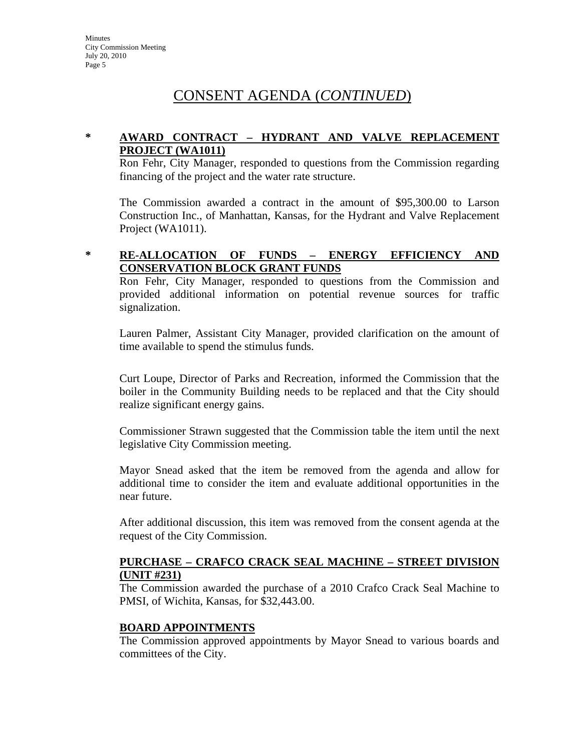# **\* AWARD CONTRACT – HYDRANT AND VALVE REPLACEMENT PROJECT (WA1011)**

Ron Fehr, City Manager, responded to questions from the Commission regarding financing of the project and the water rate structure.

The Commission awarded a contract in the amount of \$95,300.00 to Larson Construction Inc., of Manhattan, Kansas, for the Hydrant and Valve Replacement Project (WA1011).

### **\* RE-ALLOCATION OF FUNDS – ENERGY EFFICIENCY AND CONSERVATION BLOCK GRANT FUNDS**

Ron Fehr, City Manager, responded to questions from the Commission and provided additional information on potential revenue sources for traffic signalization.

Lauren Palmer, Assistant City Manager, provided clarification on the amount of time available to spend the stimulus funds.

Curt Loupe, Director of Parks and Recreation, informed the Commission that the boiler in the Community Building needs to be replaced and that the City should realize significant energy gains.

Commissioner Strawn suggested that the Commission table the item until the next legislative City Commission meeting.

Mayor Snead asked that the item be removed from the agenda and allow for additional time to consider the item and evaluate additional opportunities in the near future.

After additional discussion, this item was removed from the consent agenda at the request of the City Commission.

#### **PURCHASE – CRAFCO CRACK SEAL MACHINE – STREET DIVISION (UNIT #231)**

The Commission awarded the purchase of a 2010 Crafco Crack Seal Machine to PMSI, of Wichita, Kansas, for \$32,443.00.

#### **BOARD APPOINTMENTS**

The Commission approved appointments by Mayor Snead to various boards and committees of the City.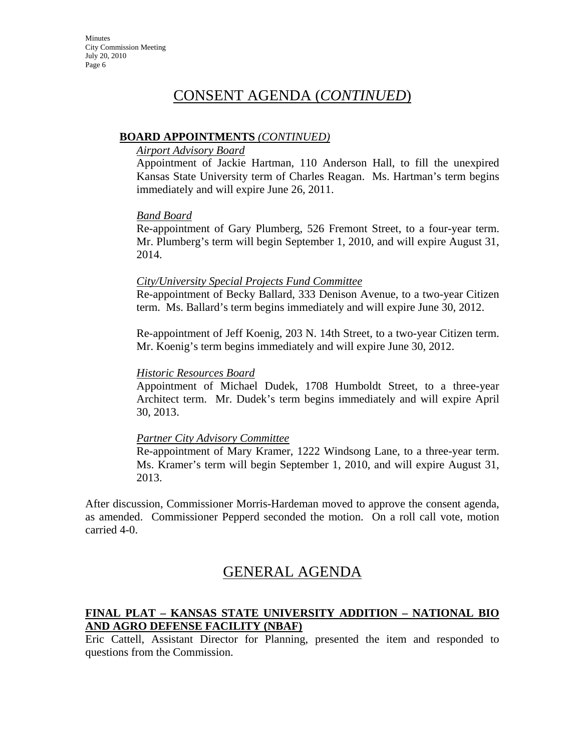### **BOARD APPOINTMENTS** *(CONTINUED)*

#### *Airport Advisory Board*

Appointment of Jackie Hartman, 110 Anderson Hall, to fill the unexpired Kansas State University term of Charles Reagan. Ms. Hartman's term begins immediately and will expire June 26, 2011.

#### *Band Board*

Re-appointment of Gary Plumberg, 526 Fremont Street, to a four-year term. Mr. Plumberg's term will begin September 1, 2010, and will expire August 31, 2014.

#### *City/University Special Projects Fund Committee*

Re-appointment of Becky Ballard, 333 Denison Avenue, to a two-year Citizen term. Ms. Ballard's term begins immediately and will expire June 30, 2012.

Re-appointment of Jeff Koenig, 203 N. 14th Street, to a two-year Citizen term. Mr. Koenig's term begins immediately and will expire June 30, 2012.

### *Historic Resources Board*

Appointment of Michael Dudek, 1708 Humboldt Street, to a three-year Architect term. Mr. Dudek's term begins immediately and will expire April 30, 2013.

# *Partner City Advisory Committee*

Re-appointment of Mary Kramer, 1222 Windsong Lane, to a three-year term. Ms. Kramer's term will begin September 1, 2010, and will expire August 31, 2013.

After discussion, Commissioner Morris-Hardeman moved to approve the consent agenda, as amended. Commissioner Pepperd seconded the motion. On a roll call vote, motion carried 4-0.

# GENERAL AGENDA

# **FINAL PLAT – KANSAS STATE UNIVERSITY ADDITION – NATIONAL BIO AND AGRO DEFENSE FACILITY (NBAF)**

Eric Cattell, Assistant Director for Planning, presented the item and responded to questions from the Commission.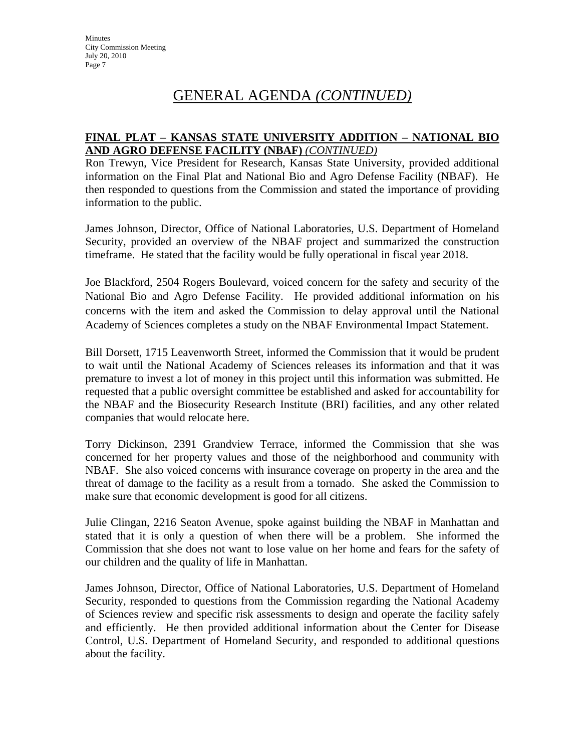### **FINAL PLAT – KANSAS STATE UNIVERSITY ADDITION – NATIONAL BIO AND AGRO DEFENSE FACILITY (NBAF)** *(CONTINUED)*

Ron Trewyn, Vice President for Research, Kansas State University, provided additional information on the Final Plat and National Bio and Agro Defense Facility (NBAF). He then responded to questions from the Commission and stated the importance of providing information to the public.

James Johnson, Director, Office of National Laboratories, U.S. Department of Homeland Security, provided an overview of the NBAF project and summarized the construction timeframe. He stated that the facility would be fully operational in fiscal year 2018.

Joe Blackford, 2504 Rogers Boulevard, voiced concern for the safety and security of the National Bio and Agro Defense Facility. He provided additional information on his concerns with the item and asked the Commission to delay approval until the National Academy of Sciences completes a study on the NBAF Environmental Impact Statement.

Bill Dorsett, 1715 Leavenworth Street, informed the Commission that it would be prudent to wait until the National Academy of Sciences releases its information and that it was premature to invest a lot of money in this project until this information was submitted. He requested that a public oversight committee be established and asked for accountability for the NBAF and the Biosecurity Research Institute (BRI) facilities, and any other related companies that would relocate here.

Torry Dickinson, 2391 Grandview Terrace, informed the Commission that she was concerned for her property values and those of the neighborhood and community with NBAF. She also voiced concerns with insurance coverage on property in the area and the threat of damage to the facility as a result from a tornado. She asked the Commission to make sure that economic development is good for all citizens.

Julie Clingan, 2216 Seaton Avenue, spoke against building the NBAF in Manhattan and stated that it is only a question of when there will be a problem. She informed the Commission that she does not want to lose value on her home and fears for the safety of our children and the quality of life in Manhattan.

James Johnson, Director, Office of National Laboratories, U.S. Department of Homeland Security, responded to questions from the Commission regarding the National Academy of Sciences review and specific risk assessments to design and operate the facility safely and efficiently. He then provided additional information about the Center for Disease Control, U.S. Department of Homeland Security, and responded to additional questions about the facility.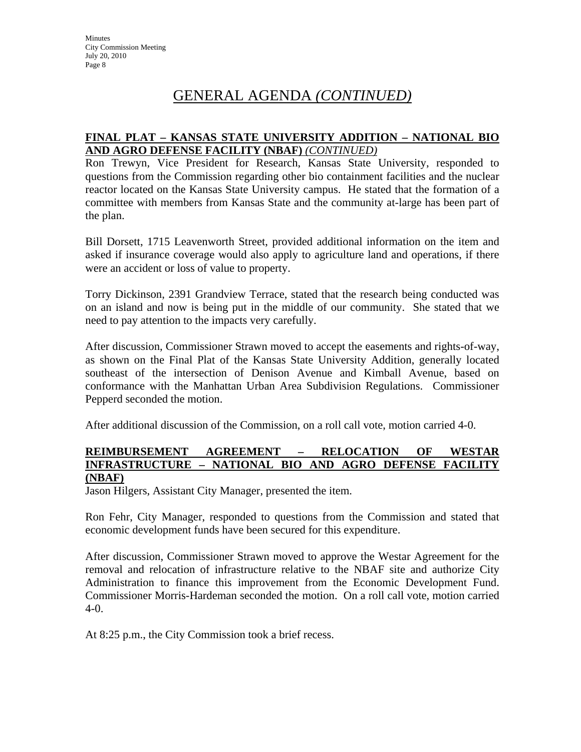### **FINAL PLAT – KANSAS STATE UNIVERSITY ADDITION – NATIONAL BIO AND AGRO DEFENSE FACILITY (NBAF)** *(CONTINUED)*

Ron Trewyn, Vice President for Research, Kansas State University, responded to questions from the Commission regarding other bio containment facilities and the nuclear reactor located on the Kansas State University campus. He stated that the formation of a committee with members from Kansas State and the community at-large has been part of the plan.

Bill Dorsett, 1715 Leavenworth Street, provided additional information on the item and asked if insurance coverage would also apply to agriculture land and operations, if there were an accident or loss of value to property.

Torry Dickinson, 2391 Grandview Terrace, stated that the research being conducted was on an island and now is being put in the middle of our community. She stated that we need to pay attention to the impacts very carefully.

After discussion, Commissioner Strawn moved to accept the easements and rights-of-way, as shown on the Final Plat of the Kansas State University Addition, generally located southeast of the intersection of Denison Avenue and Kimball Avenue, based on conformance with the Manhattan Urban Area Subdivision Regulations. Commissioner Pepperd seconded the motion.

After additional discussion of the Commission, on a roll call vote, motion carried 4-0.

#### **REIMBURSEMENT AGREEMENT – RELOCATION OF WESTAR INFRASTRUCTURE – NATIONAL BIO AND AGRO DEFENSE FACILITY (NBAF)**

Jason Hilgers, Assistant City Manager, presented the item.

Ron Fehr, City Manager, responded to questions from the Commission and stated that economic development funds have been secured for this expenditure.

After discussion, Commissioner Strawn moved to approve the Westar Agreement for the removal and relocation of infrastructure relative to the NBAF site and authorize City Administration to finance this improvement from the Economic Development Fund. Commissioner Morris-Hardeman seconded the motion. On a roll call vote, motion carried  $4-0.$ 

At 8:25 p.m., the City Commission took a brief recess.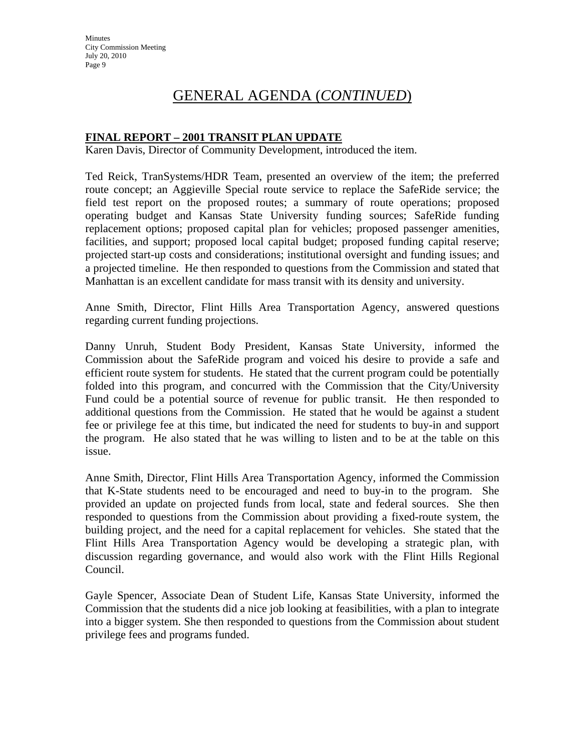# **FINAL REPORT – 2001 TRANSIT PLAN UPDATE**

Karen Davis, Director of Community Development, introduced the item.

Ted Reick, TranSystems/HDR Team, presented an overview of the item; the preferred route concept; an Aggieville Special route service to replace the SafeRide service; the field test report on the proposed routes; a summary of route operations; proposed operating budget and Kansas State University funding sources; SafeRide funding replacement options; proposed capital plan for vehicles; proposed passenger amenities, facilities, and support; proposed local capital budget; proposed funding capital reserve; projected start-up costs and considerations; institutional oversight and funding issues; and a projected timeline. He then responded to questions from the Commission and stated that Manhattan is an excellent candidate for mass transit with its density and university.

Anne Smith, Director, Flint Hills Area Transportation Agency, answered questions regarding current funding projections.

Danny Unruh, Student Body President, Kansas State University, informed the Commission about the SafeRide program and voiced his desire to provide a safe and efficient route system for students. He stated that the current program could be potentially folded into this program, and concurred with the Commission that the City/University Fund could be a potential source of revenue for public transit. He then responded to additional questions from the Commission. He stated that he would be against a student fee or privilege fee at this time, but indicated the need for students to buy-in and support the program. He also stated that he was willing to listen and to be at the table on this issue.

Anne Smith, Director, Flint Hills Area Transportation Agency, informed the Commission that K-State students need to be encouraged and need to buy-in to the program. She provided an update on projected funds from local, state and federal sources. She then responded to questions from the Commission about providing a fixed-route system, the building project, and the need for a capital replacement for vehicles. She stated that the Flint Hills Area Transportation Agency would be developing a strategic plan, with discussion regarding governance, and would also work with the Flint Hills Regional Council.

Gayle Spencer, Associate Dean of Student Life, Kansas State University, informed the Commission that the students did a nice job looking at feasibilities, with a plan to integrate into a bigger system. She then responded to questions from the Commission about student privilege fees and programs funded.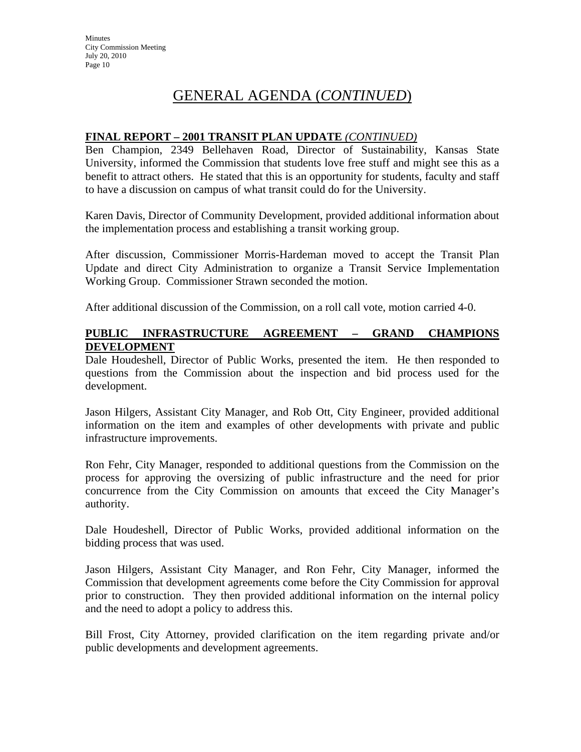### **FINAL REPORT – 2001 TRANSIT PLAN UPDATE** *(CONTINUED)*

Ben Champion, 2349 Bellehaven Road, Director of Sustainability, Kansas State University, informed the Commission that students love free stuff and might see this as a benefit to attract others. He stated that this is an opportunity for students, faculty and staff to have a discussion on campus of what transit could do for the University.

Karen Davis, Director of Community Development, provided additional information about the implementation process and establishing a transit working group.

After discussion, Commissioner Morris-Hardeman moved to accept the Transit Plan Update and direct City Administration to organize a Transit Service Implementation Working Group. Commissioner Strawn seconded the motion.

After additional discussion of the Commission, on a roll call vote, motion carried 4-0.

### **PUBLIC INFRASTRUCTURE AGREEMENT – GRAND CHAMPIONS DEVELOPMENT**

Dale Houdeshell, Director of Public Works, presented the item. He then responded to questions from the Commission about the inspection and bid process used for the development.

Jason Hilgers, Assistant City Manager, and Rob Ott, City Engineer, provided additional information on the item and examples of other developments with private and public infrastructure improvements.

Ron Fehr, City Manager, responded to additional questions from the Commission on the process for approving the oversizing of public infrastructure and the need for prior concurrence from the City Commission on amounts that exceed the City Manager's authority.

Dale Houdeshell, Director of Public Works, provided additional information on the bidding process that was used.

Jason Hilgers, Assistant City Manager, and Ron Fehr, City Manager, informed the Commission that development agreements come before the City Commission for approval prior to construction. They then provided additional information on the internal policy and the need to adopt a policy to address this.

Bill Frost, City Attorney, provided clarification on the item regarding private and/or public developments and development agreements.